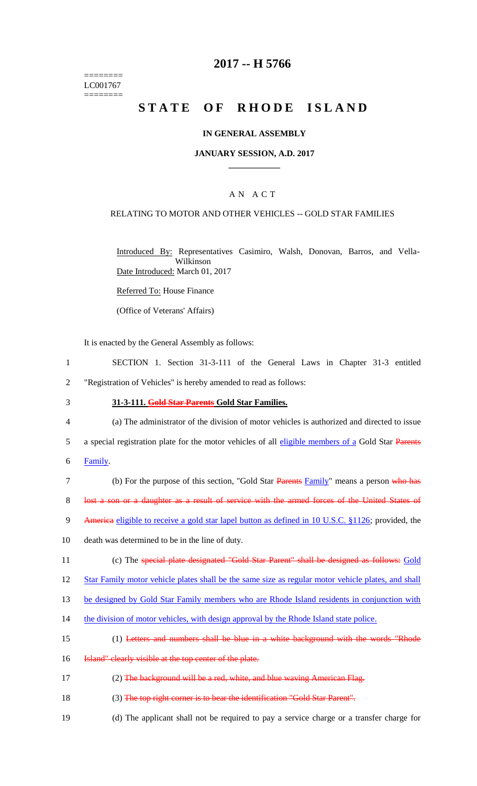======== LC001767 ========

# **2017 -- H 5766**

# STATE OF RHODE ISLAND

## **IN GENERAL ASSEMBLY**

## **JANUARY SESSION, A.D. 2017 \_\_\_\_\_\_\_\_\_\_\_\_**

## A N A C T

## RELATING TO MOTOR AND OTHER VEHICLES -- GOLD STAR FAMILIES

Introduced By: Representatives Casimiro, Walsh, Donovan, Barros, and Vella-Wilkinson Date Introduced: March 01, 2017

Referred To: House Finance

(Office of Veterans' Affairs)

It is enacted by the General Assembly as follows:

1 SECTION 1. Section 31-3-111 of the General Laws in Chapter 31-3 entitled 2 "Registration of Vehicles" is hereby amended to read as follows:

#### 3 **31-3-111. Gold Star Parents Gold Star Families.**

- 4 (a) The administrator of the division of motor vehicles is authorized and directed to issue
- 5 a special registration plate for the motor vehicles of all eligible members of a Gold Star Parents
- 6 Family.
- 7 (b) For the purpose of this section, "Gold Star Parents Family" means a person who has 8 lost a son or a daughter as a result of service with the armed forces of the United States of
- 9 America eligible to receive a gold star lapel button as defined in 10 U.S.C. §1126; provided, the
- 10 death was determined to be in the line of duty.
- 11 (c) The special plate designated "Gold Star Parent" shall be designed as follows: Gold
- 12 Star Family motor vehicle plates shall be the same size as regular motor vehicle plates, and shall

13 be designed by Gold Star Family members who are Rhode Island residents in conjunction with

- 14 the division of motor vehicles, with design approval by the Rhode Island state police.
- 15 (1) Letters and numbers shall be blue in a white background with the words "Rhode
- 16 **Island"** clearly visible at the top center of the plate.
- 17 (2) The background will be a red, white, and blue waving American Flag.
- 18 (3) The top right corner is to bear the identification "Gold Star Parent".
- 19 (d) The applicant shall not be required to pay a service charge or a transfer charge for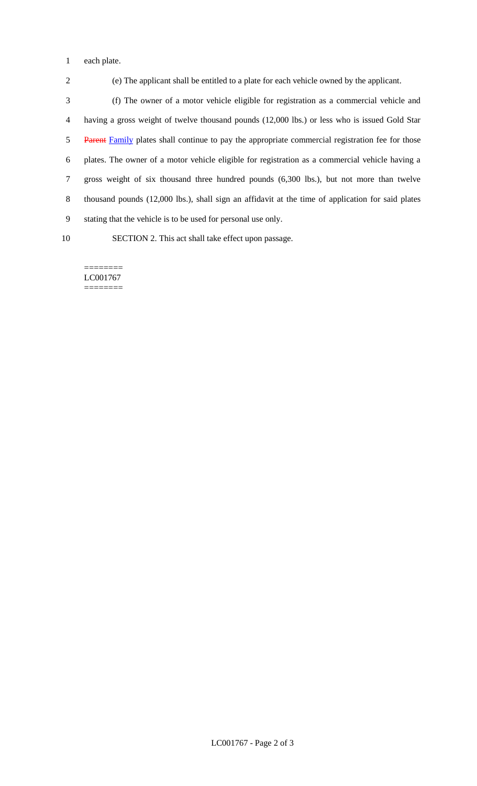each plate.

(e) The applicant shall be entitled to a plate for each vehicle owned by the applicant.

 (f) The owner of a motor vehicle eligible for registration as a commercial vehicle and having a gross weight of twelve thousand pounds (12,000 lbs.) or less who is issued Gold Star 5 Parent Family plates shall continue to pay the appropriate commercial registration fee for those plates. The owner of a motor vehicle eligible for registration as a commercial vehicle having a gross weight of six thousand three hundred pounds (6,300 lbs.), but not more than twelve thousand pounds (12,000 lbs.), shall sign an affidavit at the time of application for said plates stating that the vehicle is to be used for personal use only.

SECTION 2. This act shall take effect upon passage.

======== LC001767 ========